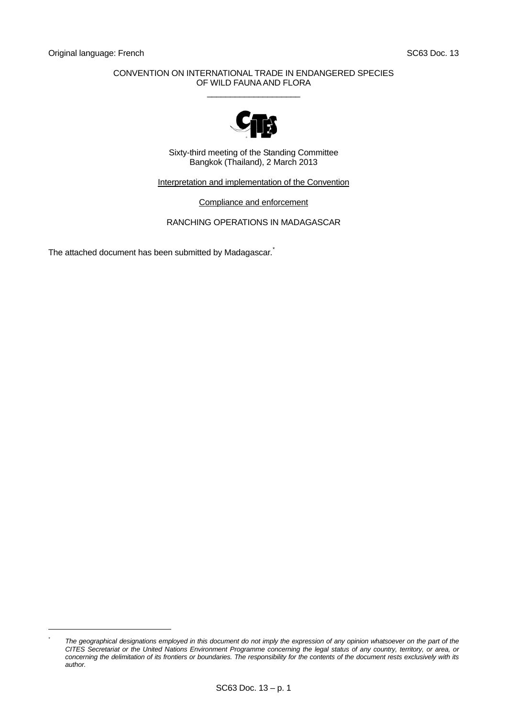l *\**

## CONVENTION ON INTERNATIONAL TRADE IN ENDANGERED SPECIES OF WILD FAUNA AND FLORA  $\_$



Sixty-third meeting of the Standing Committee Bangkok (Thailand), 2 March 2013

Interpretation and implementation of the Convention

Compliance and enforcement

RANCHING OPERATIONS IN MADAGASCAR

The attached document has been submitted by Madagascar.

<span id="page-0-0"></span>*The geographical designations employed in this document do not imply the expression of any opinion whatsoever on the part of the CITES Secretariat or the United Nations Environment Programme concerning the legal status of any country, territory, or area, or concerning the delimitation of its frontiers or boundaries. The responsibility for the contents of the document rests exclusively with its author.*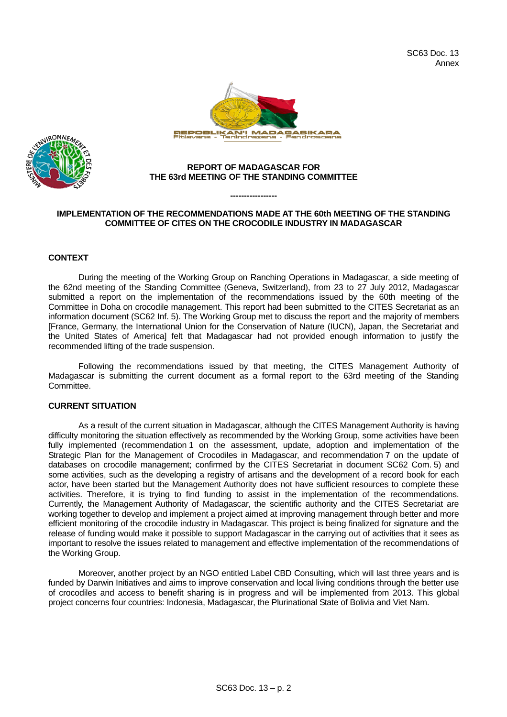



#### **REPORT OF MADAGASCAR FOR THE 63rd MEETING OF THE STANDING COMMITTEE**

# **IMPLEMENTATION OF THE RECOMMENDATIONS MADE AT THE 60th MEETING OF THE STANDING COMMITTEE OF CITES ON THE CROCODILE INDUSTRY IN MADAGASCAR**

**-----------------** 

#### **CONTEXT**

During the meeting of the Working Group on Ranching Operations in Madagascar, a side meeting of the 62nd meeting of the Standing Committee (Geneva, Switzerland), from 23 to 27 July 2012, Madagascar submitted a report on the implementation of the recommendations issued by the 60th meeting of the Committee in Doha on crocodile management. This report had been submitted to the CITES Secretariat as an information document (SC62 Inf. 5). The Working Group met to discuss the report and the majority of members [France, Germany, the International Union for the Conservation of Nature (IUCN), Japan, the Secretariat and the United States of America] felt that Madagascar had not provided enough information to justify the recommended lifting of the trade suspension.

Following the recommendations issued by that meeting, the CITES Management Authority of Madagascar is submitting the current document as a formal report to the 63rd meeting of the Standing Committee.

# **CURRENT SITUATION**

As a result of the current situation in Madagascar, although the CITES Management Authority is having difficulty monitoring the situation effectively as recommended by the Working Group, some activities have been fully implemented (recommendation 1 on the assessment, update, adoption and implementation of the Strategic Plan for the Management of Crocodiles in Madagascar, and recommendation 7 on the update of databases on crocodile management; confirmed by the CITES Secretariat in document SC62 Com. 5) and some activities, such as the developing a registry of artisans and the development of a record book for each actor, have been started but the Management Authority does not have sufficient resources to complete these activities. Therefore, it is trying to find funding to assist in the implementation of the recommendations. Currently, the Management Authority of Madagascar, the scientific authority and the CITES Secretariat are working together to develop and implement a project aimed at improving management through better and more efficient monitoring of the crocodile industry in Madagascar. This project is being finalized for signature and the release of funding would make it possible to support Madagascar in the carrying out of activities that it sees as important to resolve the issues related to management and effective implementation of the recommendations of the Working Group.

Moreover, another project by an NGO entitled Label CBD Consulting, which will last three years and is funded by Darwin Initiatives and aims to improve conservation and local living conditions through the better use of crocodiles and access to benefit sharing is in progress and will be implemented from 2013. This global project concerns four countries: Indonesia, Madagascar, the Plurinational State of Bolivia and Viet Nam.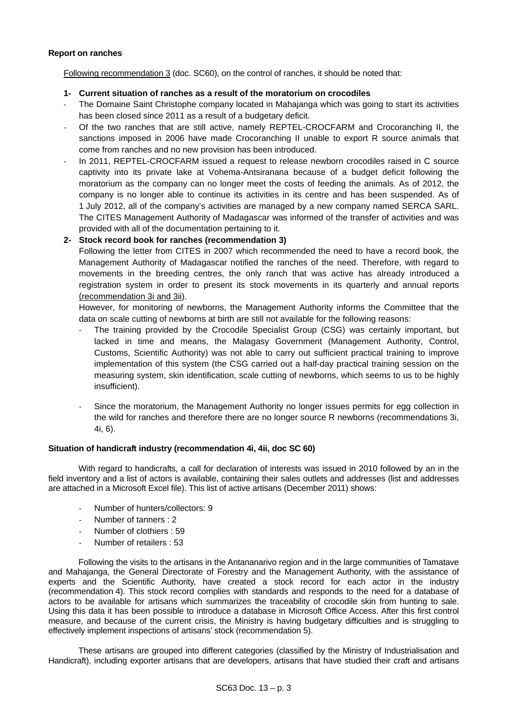## **Report on ranches**

Following recommendation 3 (doc. SC60), on the control of ranches, it should be noted that:

- **1- Current situation of ranches as a result of the moratorium on crocodiles**
- ‐ The Domaine Saint Christophe company located in Mahajanga which was going to start its activities has been closed since 2011 as a result of a budgetary deficit.
- ‐ Of the two ranches that are still active, namely REPTEL-CROCFARM and Crocoranching II, the sanctions imposed in 2006 have made Crocoranching II unable to export R source animals that come from ranches and no new provision has been introduced.
- In 2011, REPTEL-CROCFARM issued a request to release newborn crocodiles raised in C source captivity into its private lake at Vohema-Antsiranana because of a budget deficit following the moratorium as the company can no longer meet the costs of feeding the animals. As of 2012, the company is no longer able to continue its activities in its centre and has been suspended. As of 1 July 2012, all of the company's activities are managed by a new company named SERCA SARL. The CITES Management Authority of Madagascar was informed of the transfer of activities and was provided with all of the documentation pertaining to it.

# **2- Stock record book for ranches (recommendation 3)**

Following the letter from CITES in 2007 which recommended the need to have a record book, the Management Authority of Madagascar notified the ranches of the need. Therefore, with regard to movements in the breeding centres, the only ranch that was active has already introduced a registration system in order to present its stock movements in its quarterly and annual reports (recommendation 3i and 3ii).

However, for monitoring of newborns, the Management Authority informs the Committee that the data on scale cutting of newborns at birth are still not available for the following reasons:

- The training provided by the Crocodile Specialist Group (CSG) was certainly important, but lacked in time and means, the Malagasy Government (Management Authority, Control, Customs, Scientific Authority) was not able to carry out sufficient practical training to improve implementation of this system (the CSG carried out a half-day practical training session on the measuring system, skin identification, scale cutting of newborns, which seems to us to be highly insufficient).
- Since the moratorium, the Management Authority no longer issues permits for egg collection in the wild for ranches and therefore there are no longer source R newborns (recommendations 3i, 4i, 6).

# **Situation of handicraft industry (recommendation 4i, 4ii, doc SC 60)**

With regard to handicrafts, a call for declaration of interests was issued in 2010 followed by an in the field inventory and a list of actors is available, containing their sales outlets and addresses (list and addresses are attached in a Microsoft Excel file). This list of active artisans (December 2011) shows:

- ‐ Number of hunters/collectors: 9
- ‐ Number of tanners : 2
- ‐ Number of clothiers : 59
- ‐ Number of retailers : 53

Following the visits to the artisans in the Antananarivo region and in the large communities of Tamatave and Mahajanga, the General Directorate of Forestry and the Management Authority, with the assistance of experts and the Scientific Authority, have created a stock record for each actor in the industry (recommendation 4). This stock record complies with standards and responds to the need for a database of actors to be available for artisans which summarizes the traceability of crocodile skin from hunting to sale. Using this data it has been possible to introduce a database in Microsoft Office Access. After this first control measure, and because of the current crisis, the Ministry is having budgetary difficulties and is struggling to effectively implement inspections of artisans' stock (recommendation 5).

These artisans are grouped into different categories (classified by the Ministry of Industrialisation and Handicraft), including exporter artisans that are developers, artisans that have studied their craft and artisans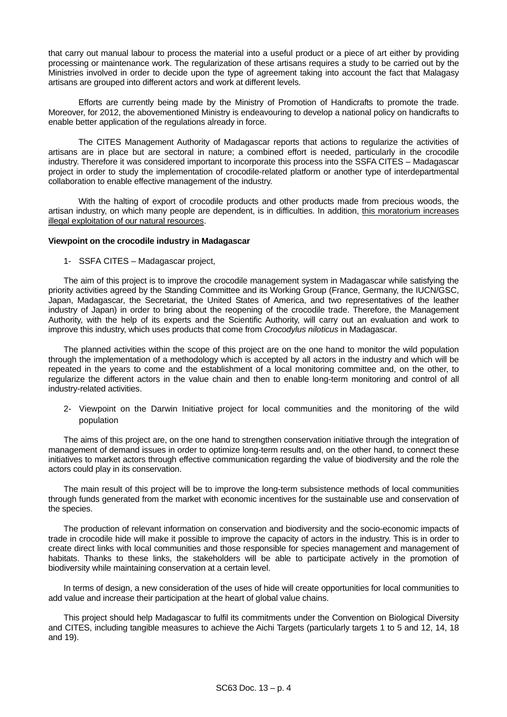that carry out manual labour to process the material into a useful product or a piece of art either by providing processing or maintenance work. The regularization of these artisans requires a study to be carried out by the Ministries involved in order to decide upon the type of agreement taking into account the fact that Malagasy artisans are grouped into different actors and work at different levels.

Efforts are currently being made by the Ministry of Promotion of Handicrafts to promote the trade. Moreover, for 2012, the abovementioned Ministry is endeavouring to develop a national policy on handicrafts to enable better application of the regulations already in force.

The CITES Management Authority of Madagascar reports that actions to regularize the activities of artisans are in place but are sectoral in nature; a combined effort is needed, particularly in the crocodile industry. Therefore it was considered important to incorporate this process into the SSFA CITES – Madagascar project in order to study the implementation of crocodile-related platform or another type of interdepartmental collaboration to enable effective management of the industry.

With the halting of export of crocodile products and other products made from precious woods, the artisan industry, on which many people are dependent, is in difficulties. In addition, this moratorium increases illegal exploitation of our natural resources.

#### **Viewpoint on the crocodile industry in Madagascar**

1- SSFA CITES – Madagascar project,

The aim of this project is to improve the crocodile management system in Madagascar while satisfying the priority activities agreed by the Standing Committee and its Working Group (France, Germany, the IUCN/GSC, Japan, Madagascar, the Secretariat, the United States of America, and two representatives of the leather industry of Japan) in order to bring about the reopening of the crocodile trade. Therefore, the Management Authority, with the help of its experts and the Scientific Authority, will carry out an evaluation and work to improve this industry, which uses products that come from *Crocodylus niloticus* in Madagascar.

The planned activities within the scope of this project are on the one hand to monitor the wild population through the implementation of a methodology which is accepted by all actors in the industry and which will be repeated in the years to come and the establishment of a local monitoring committee and, on the other, to regularize the different actors in the value chain and then to enable long-term monitoring and control of all industry-related activities.

2- Viewpoint on the Darwin Initiative project for local communities and the monitoring of the wild population

The aims of this project are, on the one hand to strengthen conservation initiative through the integration of management of demand issues in order to optimize long-term results and, on the other hand, to connect these initiatives to market actors through effective communication regarding the value of biodiversity and the role the actors could play in its conservation.

The main result of this project will be to improve the long-term subsistence methods of local communities through funds generated from the market with economic incentives for the sustainable use and conservation of the species.

The production of relevant information on conservation and biodiversity and the socio-economic impacts of trade in crocodile hide will make it possible to improve the capacity of actors in the industry. This is in order to create direct links with local communities and those responsible for species management and management of habitats. Thanks to these links, the stakeholders will be able to participate actively in the promotion of biodiversity while maintaining conservation at a certain level.

In terms of design, a new consideration of the uses of hide will create opportunities for local communities to add value and increase their participation at the heart of global value chains.

This project should help Madagascar to fulfil its commitments under the Convention on Biological Diversity and CITES, including tangible measures to achieve the Aichi Targets (particularly targets 1 to 5 and 12, 14, 18 and 19).